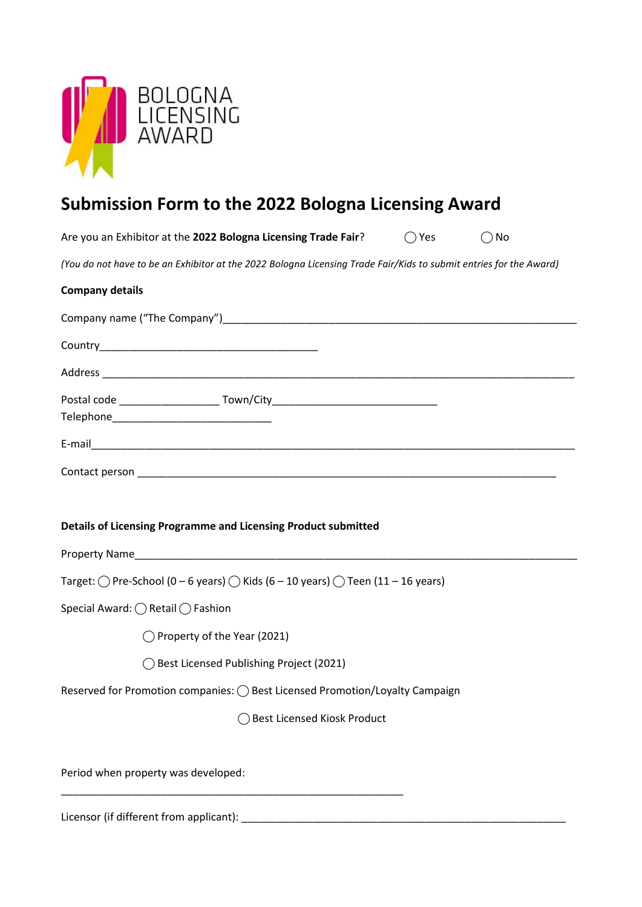

# **Submission Form to the 2022 Bologna Licensing Award**

|                                                     | Are you an Exhibitor at the 2022 Bologna Licensing Trade Fair?                                                     | $()$ Yes | ( ) No |
|-----------------------------------------------------|--------------------------------------------------------------------------------------------------------------------|----------|--------|
|                                                     | (You do not have to be an Exhibitor at the 2022 Bologna Licensing Trade Fair/Kids to submit entries for the Award) |          |        |
| <b>Company details</b>                              |                                                                                                                    |          |        |
|                                                     |                                                                                                                    |          |        |
|                                                     |                                                                                                                    |          |        |
|                                                     |                                                                                                                    |          |        |
|                                                     | Postal code _____________________________Town/City______________________________                                   |          |        |
|                                                     |                                                                                                                    |          |        |
|                                                     |                                                                                                                    |          |        |
|                                                     | Details of Licensing Programme and Licensing Product submitted                                                     |          |        |
|                                                     | Target: $\bigcirc$ Pre-School (0 – 6 years) $\bigcirc$ Kids (6 – 10 years) $\bigcirc$ Teen (11 – 16 years)         |          |        |
| Special Award: $\bigcirc$ Retail $\bigcirc$ Fashion |                                                                                                                    |          |        |
|                                                     | $\bigcirc$ Property of the Year (2021)                                                                             |          |        |
|                                                     | ◯ Best Licensed Publishing Project (2021)                                                                          |          |        |
|                                                     | Reserved for Promotion companies: ( ) Best Licensed Promotion/Loyalty Campaign                                     |          |        |
|                                                     | <b>Best Licensed Kiosk Product</b>                                                                                 |          |        |
| Period when property was developed:                 |                                                                                                                    |          |        |
|                                                     |                                                                                                                    |          |        |

Licensor (if different from applicant): \_\_\_\_\_\_\_\_\_\_\_\_\_\_\_\_\_\_\_\_\_\_\_\_\_\_\_\_\_\_\_\_\_\_\_\_\_\_\_\_\_\_\_\_\_\_\_\_\_\_\_\_\_\_\_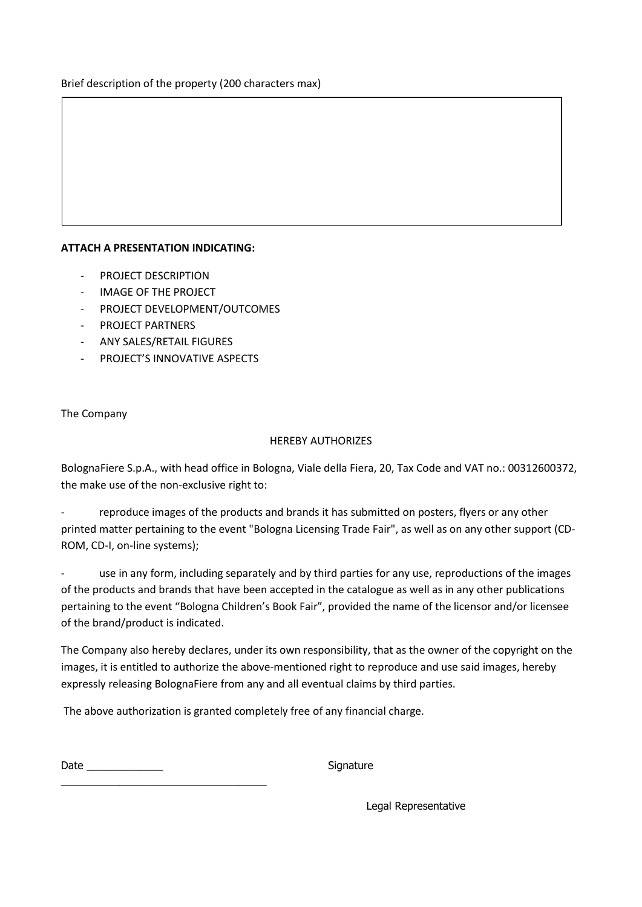Brief description of the property (200 characters max)

#### **ATTACH A PRESENTATION INDICATING:**

- PROJECT DESCRIPTION
- IMAGE OF THE PROJECT
- PROJECT DEVELOPMENT/OUTCOMES
- PROJECT PARTNERS
- ANY SALES/RETAIL FIGURES
- PROJECT'S INNOVATIVE ASPECTS

#### The Company

#### HEREBY AUTHORIZES

BolognaFiere S.p.A., with head office in Bologna, Viale della Fiera, 20, Tax Code and VAT no.: 00312600372, the make use of the non-exclusive right to:

reproduce images of the products and brands it has submitted on posters, flyers or any other printed matter pertaining to the event "Bologna Licensing Trade Fair", as well as on any other support (CD-ROM, CD-I, on-line systems);

use in any form, including separately and by third parties for any use, reproductions of the images of the products and brands that have been accepted in the catalogue as well as in any other publications pertaining to the event "Bologna Children's Book Fair", provided the name of the licensor and/or licensee of the brand/product is indicated.

The Company also hereby declares, under its own responsibility, that as the owner of the copyright on the images, it is entitled to authorize the above-mentioned right to reproduce and use said images, hereby expressly releasing BolognaFiere from any and all eventual claims by third parties.

The above authorization is granted completely free of any financial charge.

Date \_\_\_\_\_\_\_\_\_\_\_\_\_ Signature

\_\_\_\_\_\_\_\_\_\_\_\_\_\_\_\_\_\_\_\_\_\_\_\_\_\_\_\_\_\_\_\_\_\_\_

Legal Representative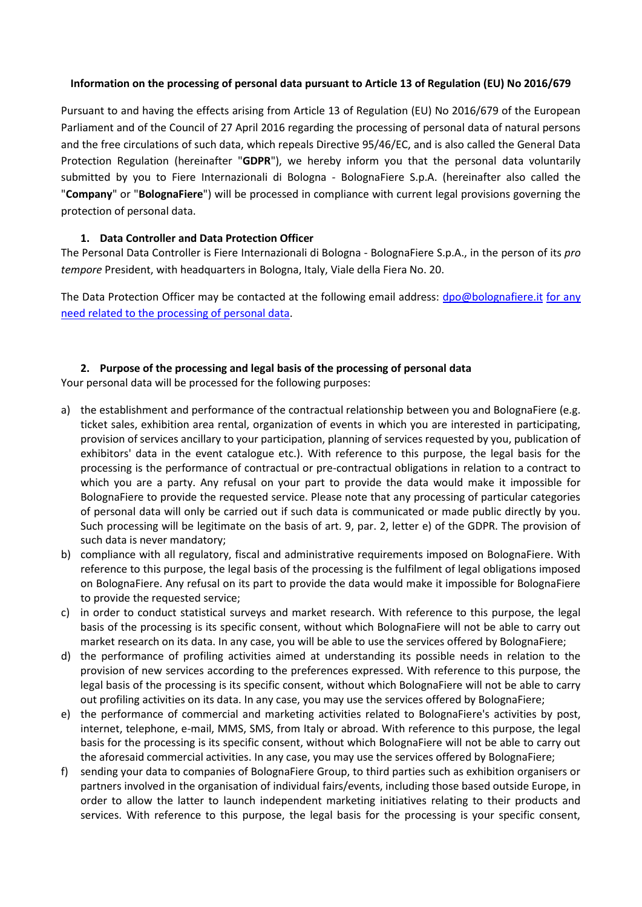#### **Information on the processing of personal data pursuant to Article 13 of Regulation (EU) No 2016/679**

Pursuant to and having the effects arising from Article 13 of Regulation (EU) No 2016/679 of the European Parliament and of the Council of 27 April 2016 regarding the processing of personal data of natural persons and the free circulations of such data, which repeals Directive 95/46/EC, and is also called the General Data Protection Regulation (hereinafter "**GDPR**"), we hereby inform you that the personal data voluntarily submitted by you to Fiere Internazionali di Bologna - BolognaFiere S.p.A. (hereinafter also called the "**Company**" or "**BolognaFiere**") will be processed in compliance with current legal provisions governing the protection of personal data.

#### **1. Data Controller and Data Protection Officer**

The Personal Data Controller is Fiere Internazionali di Bologna - BolognaFiere S.p.A., in the person of its *pro tempore* President, with headquarters in Bologna, Italy, Viale della Fiera No. 20.

The Data Protection Officer may be contacted at the following email address: [dpo@bolognafiere.it](mailto:dpo@bolognafiere.it) for any need related to the processing of personal data.

#### **2. Purpose of the processing and legal basis of the processing of personal data**

Your personal data will be processed for the following purposes:

- a) the establishment and performance of the contractual relationship between you and BolognaFiere (e.g. ticket sales, exhibition area rental, organization of events in which you are interested in participating, provision of services ancillary to your participation, planning of services requested by you, publication of exhibitors' data in the event catalogue etc.). With reference to this purpose, the legal basis for the processing is the performance of contractual or pre-contractual obligations in relation to a contract to which you are a party. Any refusal on your part to provide the data would make it impossible for BolognaFiere to provide the requested service. Please note that any processing of particular categories of personal data will only be carried out if such data is communicated or made public directly by you. Such processing will be legitimate on the basis of art. 9, par. 2, letter e) of the GDPR. The provision of such data is never mandatory;
- b) compliance with all regulatory, fiscal and administrative requirements imposed on BolognaFiere. With reference to this purpose, the legal basis of the processing is the fulfilment of legal obligations imposed on BolognaFiere. Any refusal on its part to provide the data would make it impossible for BolognaFiere to provide the requested service;
- c) in order to conduct statistical surveys and market research. With reference to this purpose, the legal basis of the processing is its specific consent, without which BolognaFiere will not be able to carry out market research on its data. In any case, you will be able to use the services offered by BolognaFiere;
- d) the performance of profiling activities aimed at understanding its possible needs in relation to the provision of new services according to the preferences expressed. With reference to this purpose, the legal basis of the processing is its specific consent, without which BolognaFiere will not be able to carry out profiling activities on its data. In any case, you may use the services offered by BolognaFiere;
- e) the performance of commercial and marketing activities related to BolognaFiere's activities by post, internet, telephone, e-mail, MMS, SMS, from Italy or abroad. With reference to this purpose, the legal basis for the processing is its specific consent, without which BolognaFiere will not be able to carry out the aforesaid commercial activities. In any case, you may use the services offered by BolognaFiere;
- f) sending your data to companies of BolognaFiere Group, to third parties such as exhibition organisers or partners involved in the organisation of individual fairs/events, including those based outside Europe, in order to allow the latter to launch independent marketing initiatives relating to their products and services. With reference to this purpose, the legal basis for the processing is your specific consent,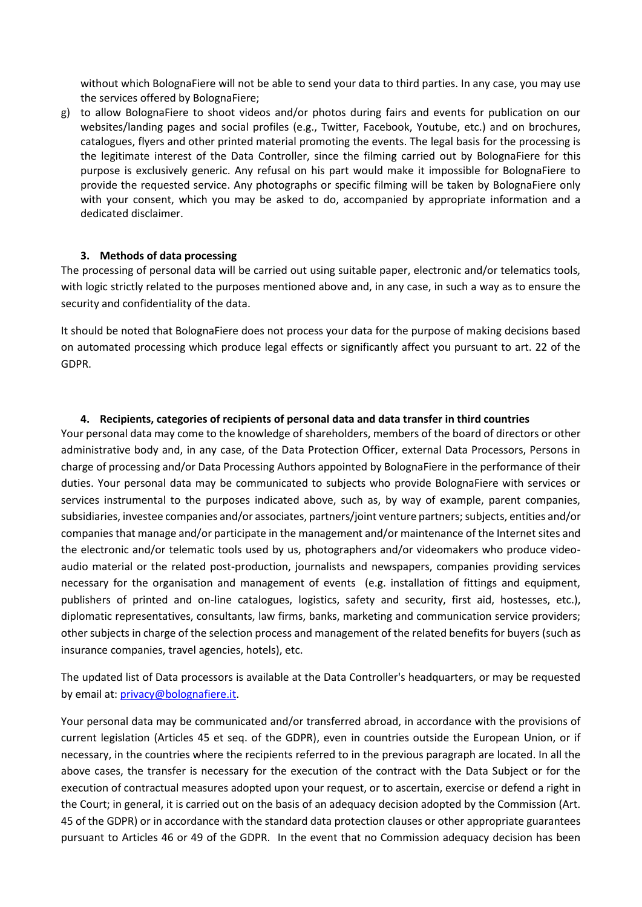without which BolognaFiere will not be able to send your data to third parties. In any case, you may use the services offered by BolognaFiere;

g) to allow BolognaFiere to shoot videos and/or photos during fairs and events for publication on our websites/landing pages and social profiles (e.g., Twitter, Facebook, Youtube, etc.) and on brochures, catalogues, flyers and other printed material promoting the events. The legal basis for the processing is the legitimate interest of the Data Controller, since the filming carried out by BolognaFiere for this purpose is exclusively generic. Any refusal on his part would make it impossible for BolognaFiere to provide the requested service. Any photographs or specific filming will be taken by BolognaFiere only with your consent, which you may be asked to do, accompanied by appropriate information and a dedicated disclaimer.

#### **3. Methods of data processing**

The processing of personal data will be carried out using suitable paper, electronic and/or telematics tools, with logic strictly related to the purposes mentioned above and, in any case, in such a way as to ensure the security and confidentiality of the data.

It should be noted that BolognaFiere does not process your data for the purpose of making decisions based on automated processing which produce legal effects or significantly affect you pursuant to art. 22 of the GDPR.

#### **4. Recipients, categories of recipients of personal data and data transfer in third countries**

Your personal data may come to the knowledge of shareholders, members of the board of directors or other administrative body and, in any case, of the Data Protection Officer, external Data Processors, Persons in charge of processing and/or Data Processing Authors appointed by BolognaFiere in the performance of their duties. Your personal data may be communicated to subjects who provide BolognaFiere with services or services instrumental to the purposes indicated above, such as, by way of example, parent companies, subsidiaries, investee companies and/or associates, partners/joint venture partners; subjects, entities and/or companies that manage and/or participate in the management and/or maintenance of the Internet sites and the electronic and/or telematic tools used by us, photographers and/or videomakers who produce videoaudio material or the related post-production, journalists and newspapers, companies providing services necessary for the organisation and management of events (e.g. installation of fittings and equipment, publishers of printed and on-line catalogues, logistics, safety and security, first aid, hostesses, etc.), diplomatic representatives, consultants, law firms, banks, marketing and communication service providers; other subjects in charge of the selection process and management of the related benefits for buyers (such as insurance companies, travel agencies, hotels), etc.

The updated list of Data processors is available at the Data Controller's headquarters, or may be requested by email at: [privacy@bolognafiere.it.](mailto:privacy@bolognafiere.it)

Your personal data may be communicated and/or transferred abroad, in accordance with the provisions of current legislation (Articles 45 et seq. of the GDPR), even in countries outside the European Union, or if necessary, in the countries where the recipients referred to in the previous paragraph are located. In all the above cases, the transfer is necessary for the execution of the contract with the Data Subject or for the execution of contractual measures adopted upon your request, or to ascertain, exercise or defend a right in the Court; in general, it is carried out on the basis of an adequacy decision adopted by the Commission (Art. 45 of the GDPR) or in accordance with the standard data protection clauses or other appropriate guarantees pursuant to Articles 46 or 49 of the GDPR. In the event that no Commission adequacy decision has been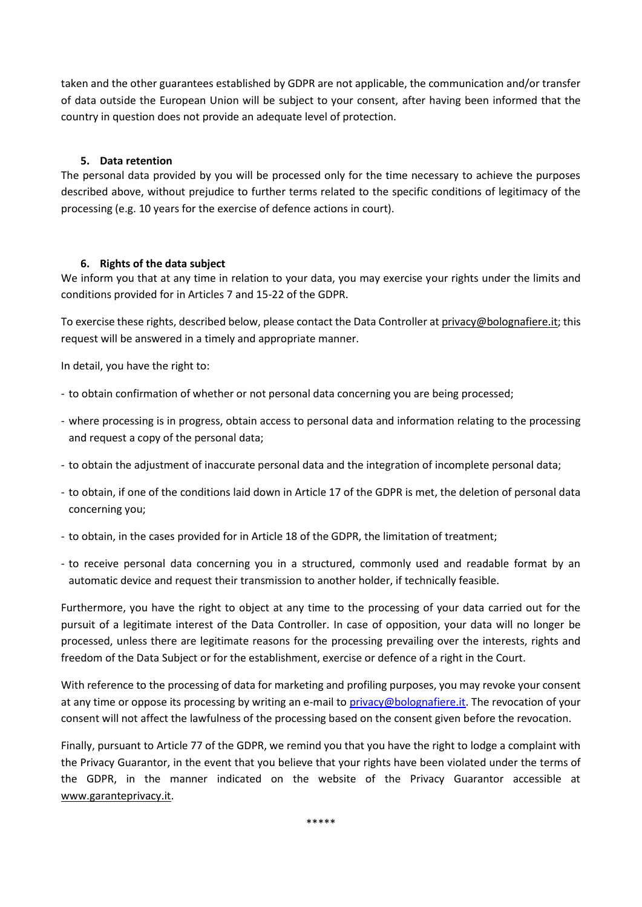taken and the other guarantees established by GDPR are not applicable, the communication and/or transfer of data outside the European Union will be subject to your consent, after having been informed that the country in question does not provide an adequate level of protection.

#### **5. Data retention**

The personal data provided by you will be processed only for the time necessary to achieve the purposes described above, without prejudice to further terms related to the specific conditions of legitimacy of the processing (e.g. 10 years for the exercise of defence actions in court).

#### **6. Rights of the data subject**

We inform you that at any time in relation to your data, you may exercise your rights under the limits and conditions provided for in Articles 7 and 15-22 of the GDPR.

To exercise these rights, described below, please contact the Data Controller at privacy@bolognafiere.it; this request will be answered in a timely and appropriate manner.

In detail, you have the right to:

- to obtain confirmation of whether or not personal data concerning you are being processed;
- where processing is in progress, obtain access to personal data and information relating to the processing and request a copy of the personal data;
- to obtain the adjustment of inaccurate personal data and the integration of incomplete personal data;
- to obtain, if one of the conditions laid down in Article 17 of the GDPR is met, the deletion of personal data concerning you;
- to obtain, in the cases provided for in Article 18 of the GDPR, the limitation of treatment;
- to receive personal data concerning you in a structured, commonly used and readable format by an automatic device and request their transmission to another holder, if technically feasible.

Furthermore, you have the right to object at any time to the processing of your data carried out for the pursuit of a legitimate interest of the Data Controller. In case of opposition, your data will no longer be processed, unless there are legitimate reasons for the processing prevailing over the interests, rights and freedom of the Data Subject or for the establishment, exercise or defence of a right in the Court.

With reference to the processing of data for marketing and profiling purposes, you may revoke your consent at any time or oppose its processing by writing an e-mail to [privacy@bolognafiere.it.](mailto:privacy@bolognafiere.it) The revocation of your consent will not affect the lawfulness of the processing based on the consent given before the revocation.

Finally, pursuant to Article 77 of the GDPR, we remind you that you have the right to lodge a complaint with the Privacy Guarantor, in the event that you believe that your rights have been violated under the terms of the GDPR, in the manner indicated on the website of the Privacy Guarantor accessible at www.garanteprivacy.it.

\*\*\*\*\*